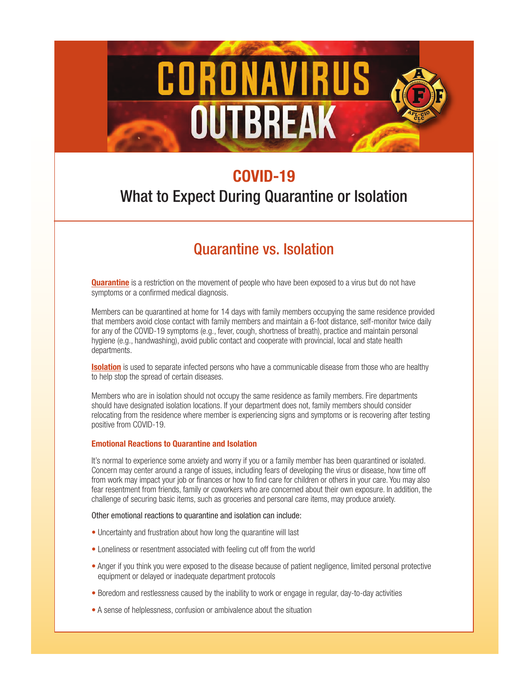# CORONAVIRUS **OUTBREAK**

## **COVID-19**

## What to Expect During Quarantine or Isolation

## Quarantine vs. Isolation

**Quarantine** is a restriction on the movement of people who have been exposed to a virus but do not have symptoms or a confirmed medical diagnosis.

Members can be quarantined at home for 14 days with family members occupying the same residence provided that members avoid close contact with family members and maintain a 6-foot distance, self-monitor twice daily for any of the COVID-19 symptoms (e.g., fever, cough, shortness of breath), practice and maintain personal hygiene (e.g., handwashing), avoid public contact and cooperate with provincial, local and state health departments.

**Isolation** is used to separate infected persons who have a communicable disease from those who are healthy to help stop the spread of certain diseases.

Members who are in isolation should not occupy the same residence as family members. Fire departments should have designated isolation locations. If your department does not, family members should consider relocating from the residence where member is experiencing signs and symptoms or is recovering after testing positive from COVID-19.

#### **Emotional Reactions to Quarantine and Isolation**

It's normal to experience some anxiety and worry if you or a family member has been quarantined or isolated. Concern may center around a range of issues, including fears of developing the virus or disease, how time off from work may impact your job or finances or how to find care for children or others in your care. You may also fear resentment from friends, family or coworkers who are concerned about their own exposure. In addition, the challenge of securing basic items, such as groceries and personal care items, may produce anxiety.

#### Other emotional reactions to quarantine and isolation can include:

- Uncertainty and frustration about how long the quarantine will last
- Loneliness or resentment associated with feeling cut off from the world
- Anger if you think you were exposed to the disease because of patient negligence, limited personal protective equipment or delayed or inadequate department protocols
- Boredom and restlessness caused by the inability to work or engage in regular, day-to-day activities
- A sense of helplessness, confusion or ambivalence about the situation